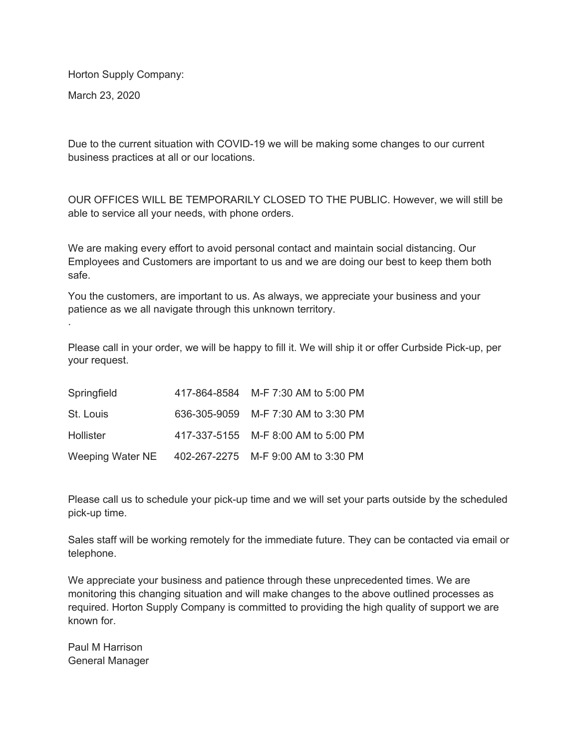Horton Supply Company:

March 23, 2020

.

Due to the current situation with COVID-19 we will be making some changes to our current business practices at all or our locations.

OUR OFFICES WILL BE TEMPORARILY CLOSED TO THE PUBLIC. However, we will still be able to service all your needs, with phone orders.

We are making every effort to avoid personal contact and maintain social distancing. Our Employees and Customers are important to us and we are doing our best to keep them both safe.

You the customers, are important to us. As always, we appreciate your business and your patience as we all navigate through this unknown territory.

Please call in your order, we will be happy to fill it. We will ship it or offer Curbside Pick-up, per your request.

| Springfield      | 417-864-8584 M-F 7:30 AM to 5:00 PM |
|------------------|-------------------------------------|
| St. Louis        | 636-305-9059 M-F 7:30 AM to 3:30 PM |
| Hollister        | 417-337-5155 M-F 8:00 AM to 5:00 PM |
| Weeping Water NE | 402-267-2275 M-F 9:00 AM to 3:30 PM |

Please call us to schedule your pick-up time and we will set your parts outside by the scheduled pick-up time.

Sales staff will be working remotely for the immediate future. They can be contacted via email or telephone.

We appreciate your business and patience through these unprecedented times. We are monitoring this changing situation and will make changes to the above outlined processes as required. Horton Supply Company is committed to providing the high quality of support we are known for.

Paul M Harrison General Manager